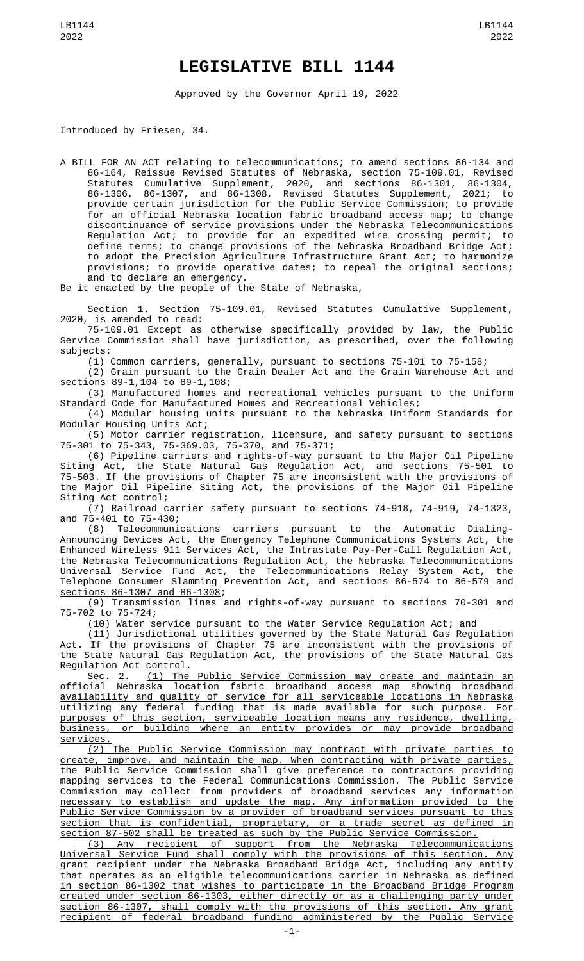## **LEGISLATIVE BILL 1144**

Approved by the Governor April 19, 2022

Introduced by Friesen, 34.

A BILL FOR AN ACT relating to telecommunications; to amend sections 86-134 and 86-164, Reissue Revised Statutes of Nebraska, section 75-109.01, Revised Statutes Cumulative Supplement, 2020, and sections 86-1301, 86-1304, 86-1306, 86-1307, and 86-1308, Revised Statutes Supplement, 2021; to provide certain jurisdiction for the Public Service Commission; to provide for an official Nebraska location fabric broadband access map; to change discontinuance of service provisions under the Nebraska Telecommunications Regulation Act; to provide for an expedited wire crossing permit; to define terms; to change provisions of the Nebraska Broadband Bridge Act; to adopt the Precision Agriculture Infrastructure Grant Act; to harmonize provisions; to provide operative dates; to repeal the original sections; and to declare an emergency.

Be it enacted by the people of the State of Nebraska,

Section 1. Section 75-109.01, Revised Statutes Cumulative Supplement, 2020, is amended to read:

75-109.01 Except as otherwise specifically provided by law, the Public Service Commission shall have jurisdiction, as prescribed, over the following subjects:

(1) Common carriers, generally, pursuant to sections 75-101 to 75-158;

(2) Grain pursuant to the Grain Dealer Act and the Grain Warehouse Act and sections 89-1,104 to 89-1,108;

(3) Manufactured homes and recreational vehicles pursuant to the Uniform Standard Code for Manufactured Homes and Recreational Vehicles;

(4) Modular housing units pursuant to the Nebraska Uniform Standards for Modular Housing Units Act;

(5) Motor carrier registration, licensure, and safety pursuant to sections 75-301 to 75-343, 75-369.03, 75-370, and 75-371;

(6) Pipeline carriers and rights-of-way pursuant to the Major Oil Pipeline Siting Act, the State Natural Gas Regulation Act, and sections 75-501 to 75-503. If the provisions of Chapter 75 are inconsistent with the provisions of the Major Oil Pipeline Siting Act, the provisions of the Major Oil Pipeline Siting Act control;

(7) Railroad carrier safety pursuant to sections 74-918, 74-919, 74-1323, and 75-401 to 75-430;

(8) Telecommunications carriers pursuant to the Automatic Dialing-Announcing Devices Act, the Emergency Telephone Communications Systems Act, the Enhanced Wireless 911 Services Act, the Intrastate Pay-Per-Call Regulation Act, the Nebraska Telecommunications Regulation Act, the Nebraska Telecommunications Universal Service Fund Act, the Telecommunications Relay System Act, the Telephone Consumer Slamming Prevention Act, and sections 86-574 to 86-579\_<u>and</u> sections 86-1307 and 86-1308;

(9) Transmission lines and rights-of-way pursuant to sections 70-301 and 75-702 to 75-724;

(10) Water service pursuant to the Water Service Regulation Act; and

(11) Jurisdictional utilities governed by the State Natural Gas Regulation Act. If the provisions of Chapter 75 are inconsistent with the provisions of the State Natural Gas Regulation Act, the provisions of the State Natural Gas

Regulation Act control.<br>Sec. 2. <u>(1) The</u> (1) The Public Service Commission may create and maintain an official Nebraska location fabric broadband access map showing broadband availability and quality of service for all serviceable locations in Nebraska utilizing any federal funding that is made available for such purpose. For purposes of this section, serviceable location means any residence, dwelling, business, or building where an entity provides or may provide broadband services.

(2) The Public Service Commission may contract with private parties to create, improve, and maintain the map. When contracting with private parties, the Public Service Commission shall give preference to contractors providing mapping services to the Federal Communications Commission. The Public Service Commission may collect from providers of broadband services any information necessary to establish and update the map. Any information provided to the Public Service Commission by a provider of broadband services pursuant to this section that is confidential, proprietary, or a trade secret as defined in section 87-502 shall be treated as such by the Public Service Commission.

(3) Any recipient of support from the Nebraska Telecommunications Universal Service Fund shall comply with the provisions of this section. Any grant recipient under the Nebraska Broadband Bridge Act, including any entity that operates as an eligible telecommunications carrier in Nebraska as defined in section 86-1302 that wishes to participate in the Broadband Bridge Program created under section 86-1303, either directly or as a challenging party under section 86-1307, shall comply with the provisions of this section. Any grant recipient of federal broadband funding administered by the Public Service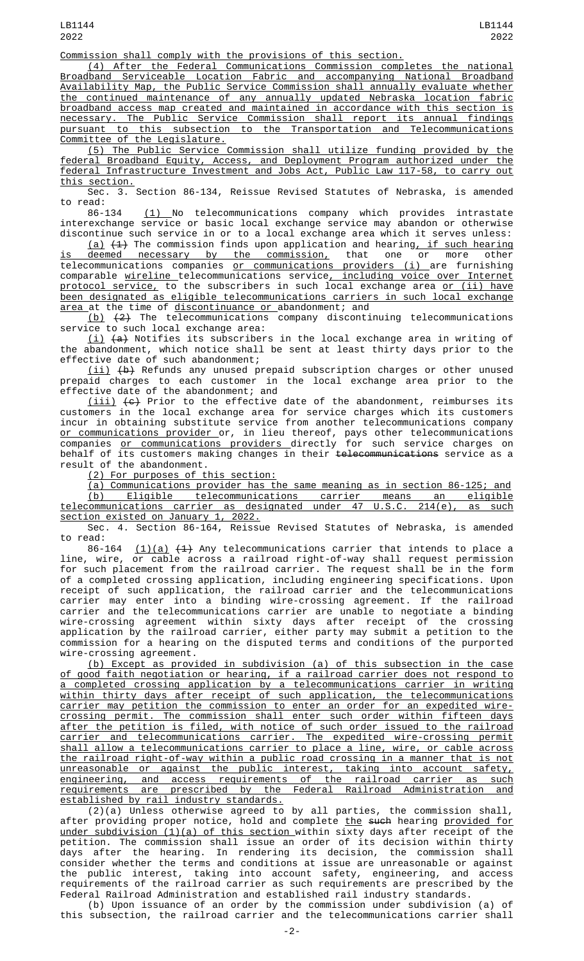Commission shall comply with the provisions of this section.

(4) After the Federal Communications Commission completes the national Broadband Serviceable Location Fabric and accompanying National Broadband Availability Map, the Public Service Commission shall annually evaluate whether the continued maintenance of any annually updated Nebraska location fabric broadband access map created and maintained in accordance with this section is necessary. The Public Service Commission shall report its annual findings pursuant to this subsection to the Transportation and Telecommunications Committee of the Legislature.

(5) The Public Service Commission shall utilize funding provided by the federal Broadband Equity, Access, and Deployment Program authorized under the federal Infrastructure Investment and Jobs Act, Public Law 117-58, to carry out this section.

Sec. 3. Section 86-134, Reissue Revised Statutes of Nebraska, is amended to read:

86-134 <u>(1) </u>No telecommunications company which provides intrastate interexchange service or basic local exchange service may abandon or otherwise discontinue such service in or to a local exchange area which it serves unless:

(a) (1) The commission finds upon application and hearing, if such hearing deemed necessary by the commission. that one or more other <u>is deemed necessary by the commission,</u> that one or more other telecommunications companies <u>or communications providers (i) </u>are furnishing comparable <u>wireline t</u>elecommunications service<u>, including voice over Internet</u> <u>protocol service,</u> to the subscribers in such local exchange area <u>or (ii) have</u> been designated as eligible telecommunications carriers in such local exchange area at the time of discontinuance or abandonment; and

(b) (2) The telecommunications company discontinuing telecommunications service to such local exchange area:

<u>(i)</u> <del>(a)</del> Notifies its subscribers in the local exchange area in writing of the abandonment, which notice shall be sent at least thirty days prior to the effective date of such abandonment;

(ii) (b) Refunds any unused prepaid subscription charges or other unused prepaid charges to each customer in the local exchange area prior to the effective date of the abandonment; and

<u>(iii)</u>  $\left\lbrace \Theta \right\rbrace$  Prior to the effective date of the abandonment, reimburses its customers in the local exchange area for service charges which its customers incur in obtaining substitute service from another telecommunications company <u>or communications provider </u>or, in lieu thereof, pays other telecommunications companies <u>or communications providers d</u>irectly for such service charges on behalf of its customers making changes in their <del>telecommunications</del> service as a result of the abandonment.

(2) For purposes of this section:

(a) Communications provider has the same meaning as in section 86-125; and (b) Eligible telecommunications carrier means an eligible telecommunications carrier as designated under 47 U.S.C. 214(e), as such section existed on January 1, 2022.

Sec. 4. Section 86-164, Reissue Revised Statutes of Nebraska, is amended to read:

86-164  $(1)(a)$   $(1)$  Any telecommunications carrier that intends to place a line, wire, or cable across a railroad right-of-way shall request permission for such placement from the railroad carrier. The request shall be in the form of a completed crossing application, including engineering specifications. Upon receipt of such application, the railroad carrier and the telecommunications carrier may enter into a binding wire-crossing agreement. If the railroad carrier and the telecommunications carrier are unable to negotiate a binding wire-crossing agreement within sixty days after receipt of the crossing application by the railroad carrier, either party may submit a petition to the commission for a hearing on the disputed terms and conditions of the purported wire-crossing agreement.

(b) Except as provided in subdivision (a) of this subsection in the case of good faith negotiation or hearing, if a railroad carrier does not respond to a completed crossing application by a telecommunications carrier in writing within thirty days after receipt of such application, the telecommunications carrier may petition the commission to enter an order for an expedited wire-<u>carrier may petition the commission to enter an order for an expedited wire-</u><br>crossing permit. The commission shall enter such order within fifteen days after the petition is filed, with notice of such order issued to the railroad carrier and telecommunications carrier. The expedited wire-crossing permit shall allow a telecommunications carrier to place a line, wire, or cable across the railroad right-of-way within a public road crossing in a manner that is not unreasonable or against the public interest, taking into account safety, engineering, and access requirements of the railroad carrier as such requirements are prescribed by the Federal Railroad Administration and established by rail industry standards.

(2)(a) Unless otherwise agreed to by all parties, the commission shall, after providing proper notice, hold and complete <u>the</u> <del>such</del> hearing <u>provided for</u> <u>under subdivision (1)(a) of this section w</u>ithin sixty days after receipt of the petition. The commission shall issue an order of its decision within thirty days after the hearing. In rendering its decision, the commission shall consider whether the terms and conditions at issue are unreasonable or against the public interest, taking into account safety, engineering, and access requirements of the railroad carrier as such requirements are prescribed by the Federal Railroad Administration and established rail industry standards.

(b) Upon issuance of an order by the commission under subdivision (a) of this subsection, the railroad carrier and the telecommunications carrier shall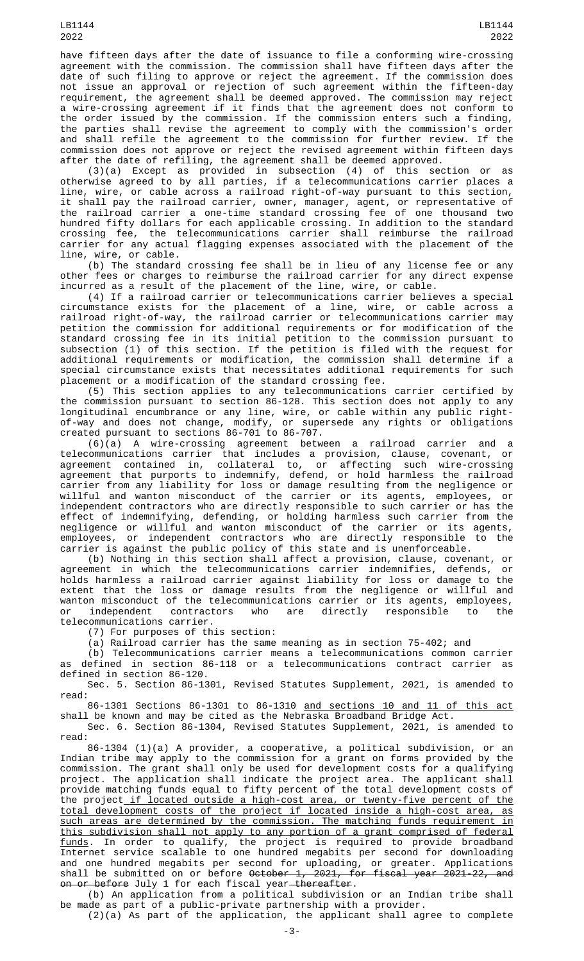have fifteen days after the date of issuance to file a conforming wire-crossing agreement with the commission. The commission shall have fifteen days after the date of such filing to approve or reject the agreement. If the commission does not issue an approval or rejection of such agreement within the fifteen-day requirement, the agreement shall be deemed approved. The commission may reject a wire-crossing agreement if it finds that the agreement does not conform to the order issued by the commission. If the commission enters such a finding, the parties shall revise the agreement to comply with the commission's order and shall refile the agreement to the commission for further review. If the commission does not approve or reject the revised agreement within fifteen days after the date of refiling, the agreement shall be deemed approved.

(3)(a) Except as provided in subsection (4) of this section or as otherwise agreed to by all parties, if a telecommunications carrier places a line, wire, or cable across a railroad right-of-way pursuant to this section, it shall pay the railroad carrier, owner, manager, agent, or representative of the railroad carrier a one-time standard crossing fee of one thousand two hundred fifty dollars for each applicable crossing. In addition to the standard crossing fee, the telecommunications carrier shall reimburse the railroad carrier for any actual flagging expenses associated with the placement of the line, wire, or cable.

(b) The standard crossing fee shall be in lieu of any license fee or any other fees or charges to reimburse the railroad carrier for any direct expense incurred as a result of the placement of the line, wire, or cable.

(4) If a railroad carrier or telecommunications carrier believes a special circumstance exists for the placement of a line, wire, or cable across a railroad right-of-way, the railroad carrier or telecommunications carrier may petition the commission for additional requirements or for modification of the standard crossing fee in its initial petition to the commission pursuant to subsection (1) of this section. If the petition is filed with the request for additional requirements or modification, the commission shall determine if a special circumstance exists that necessitates additional requirements for such placement or a modification of the standard crossing fee.

(5) This section applies to any telecommunications carrier certified by the commission pursuant to section 86-128. This section does not apply to any longitudinal encumbrance or any line, wire, or cable within any public rightof-way and does not change, modify, or supersede any rights or obligations created pursuant to sections 86-701 to 86-707.

(6)(a) A wire-crossing agreement between a railroad carrier and a telecommunications carrier that includes a provision, clause, covenant, or agreement contained in, collateral to, or affecting such wire-crossing agreement that purports to indemnify, defend, or hold harmless the railroad carrier from any liability for loss or damage resulting from the negligence or willful and wanton misconduct of the carrier or its agents, employees, or independent contractors who are directly responsible to such carrier or has the effect of indemnifying, defending, or holding harmless such carrier from the negligence or willful and wanton misconduct of the carrier or its agents, employees, or independent contractors who are directly responsible to the carrier is against the public policy of this state and is unenforceable.

(b) Nothing in this section shall affect a provision, clause, covenant, or agreement in which the telecommunications carrier indemnifies, defends, or holds harmless a railroad carrier against liability for loss or damage to the extent that the loss or damage results from the negligence or willful and wanton misconduct of the telecommunications carrier or its agents, employees, or independent contractors who are directly responsible to the telecommunications carrier.

(7) For purposes of this section:

(a) Railroad carrier has the same meaning as in section 75-402; and

(b) Telecommunications carrier means a telecommunications common carrier as defined in section 86-118 or a telecommunications contract carrier as defined in section 86-120.

Sec. 5. Section 86-1301, Revised Statutes Supplement, 2021, is amended to read:

86-1301 Sections 86-1301 to 86-1310 and sections 10 and 11 of this act shall be known and may be cited as the Nebraska Broadband Bridge Act.

Sec. 6. Section 86-1304, Revised Statutes Supplement, 2021, is amended to read:

86-1304 (1)(a) A provider, a cooperative, a political subdivision, or an Indian tribe may apply to the commission for a grant on forms provided by the commission. The grant shall only be used for development costs for a qualifying project. The application shall indicate the project area. The applicant shall provide matching funds equal to fifty percent of the total development costs of the project if located outside a high-cost area, or twenty-five percent of the total development costs of the project if located inside a high-cost area, as such areas are determined by the commission. The matching funds requirement in this subdivision shall not apply to any portion of a grant comprised of federal funds. In order to qualify, the project is required to provide broadband Internet service scalable to one hundred megabits per second for downloading and one hundred megabits per second for uploading, or greater. Applications shall be submitted on or before <del>October 1, 2021, for fiscal year 2021-22, and</del> <del>on or before</del> July 1 for each fiscal year<del> thereafter</del>.

(b) An application from a political subdivision or an Indian tribe shall be made as part of a public-private partnership with a provider. (2)(a) As part of the application, the applicant shall agree to complete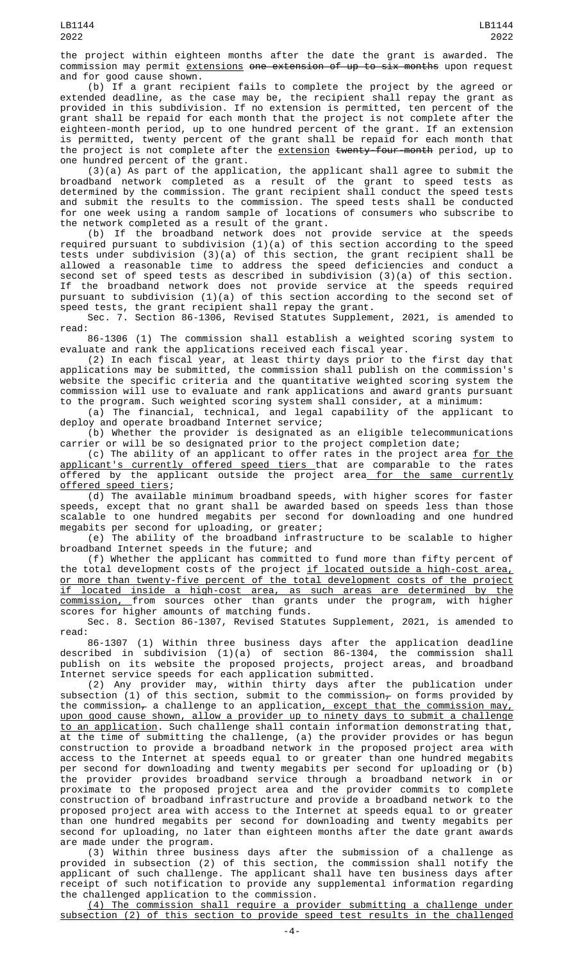the project within eighteen months after the date the grant is awarded. The commission may permit extensions one extension of up to six months upon request and for good cause shown.

(b) If a grant recipient fails to complete the project by the agreed or extended deadline, as the case may be, the recipient shall repay the grant as provided in this subdivision. If no extension is permitted, ten percent of the grant shall be repaid for each month that the project is not complete after the eighteen-month period, up to one hundred percent of the grant. If an extension is permitted, twenty percent of the grant shall be repaid for each month that the project is not complete after the extension twenty-four-month period, up to one hundred percent of the grant.

(3)(a) As part of the application, the applicant shall agree to submit the broadband network completed as a result of the grant to speed tests as determined by the commission. The grant recipient shall conduct the speed tests and submit the results to the commission. The speed tests shall be conducted for one week using a random sample of locations of consumers who subscribe to the network completed as a result of the grant.

(b) If the broadband network does not provide service at the speeds required pursuant to subdivision (1)(a) of this section according to the speed tests under subdivision (3)(a) of this section, the grant recipient shall be allowed a reasonable time to address the speed deficiencies and conduct a second set of speed tests as described in subdivision (3)(a) of this section. If the broadband network does not provide service at the speeds required pursuant to subdivision (1)(a) of this section according to the second set of speed tests, the grant recipient shall repay the grant.

Sec. 7. Section 86-1306, Revised Statutes Supplement, 2021, is amended to read:

86-1306 (1) The commission shall establish a weighted scoring system to evaluate and rank the applications received each fiscal year.

(2) In each fiscal year, at least thirty days prior to the first day that applications may be submitted, the commission shall publish on the commission's website the specific criteria and the quantitative weighted scoring system the commission will use to evaluate and rank applications and award grants pursuant to the program. Such weighted scoring system shall consider, at a minimum:

(a) The financial, technical, and legal capability of the applicant to deploy and operate broadband Internet service;

(b) Whether the provider is designated as an eligible telecommunications carrier or will be so designated prior to the project completion date;

(c) The ability of an applicant to offer rates in the project area <u>for the</u> <u>applicant's currently offered speed tiers t</u>hat are comparable to the rates offered by the applicant outside the project area<u> for the same currently</u> offered speed tiers;

(d) The available minimum broadband speeds, with higher scores for faster speeds, except that no grant shall be awarded based on speeds less than those scalable to one hundred megabits per second for downloading and one hundred megabits per second for uploading, or greater;

(e) The ability of the broadband infrastructure to be scalable to higher broadband Internet speeds in the future; and

(f) Whether the applicant has committed to fund more than fifty percent of the total development costs of the project if located outside a high-cost area, or more than twenty-five percent of the total development costs of the project if located inside a high-cost area, as such areas are determined by the commission, from sources other than grants under the program, with higher scores for higher amounts of matching funds.

Sec. 8. Section 86-1307, Revised Statutes Supplement, 2021, is amended to read:

86-1307 (1) Within three business days after the application deadline described in subdivision (1)(a) of section 86-1304, the commission shall publish on its website the proposed projects, project areas, and broadband Internet service speeds for each application submitted.

(2) Any provider may, within thirty days after the publication under subsection (1) of this section, submit to the commission<del>,</del> on forms provided by the commission<sub> $\tau$ </sub> a challenge to an application<u>, except that the commission may,</u> upon good cause shown, allow a provider up to ninety days to submit a challenge to an application. Such challenge shall contain information demonstrating that, at the time of submitting the challenge, (a) the provider provides or has begun construction to provide a broadband network in the proposed project area with access to the Internet at speeds equal to or greater than one hundred megabits per second for downloading and twenty megabits per second for uploading or (b) the provider provides broadband service through a broadband network in or proximate to the proposed project area and the provider commits to complete construction of broadband infrastructure and provide a broadband network to the proposed project area with access to the Internet at speeds equal to or greater than one hundred megabits per second for downloading and twenty megabits per second for uploading, no later than eighteen months after the date grant awards are made under the program.

(3) Within three business days after the submission of a challenge as provided in subsection (2) of this section, the commission shall notify the applicant of such challenge. The applicant shall have ten business days after receipt of such notification to provide any supplemental information regarding the challenged application to the commission.

(4) The commission shall require a provider submitting a challenge under subsection (2) of this section to provide speed test results in the challenged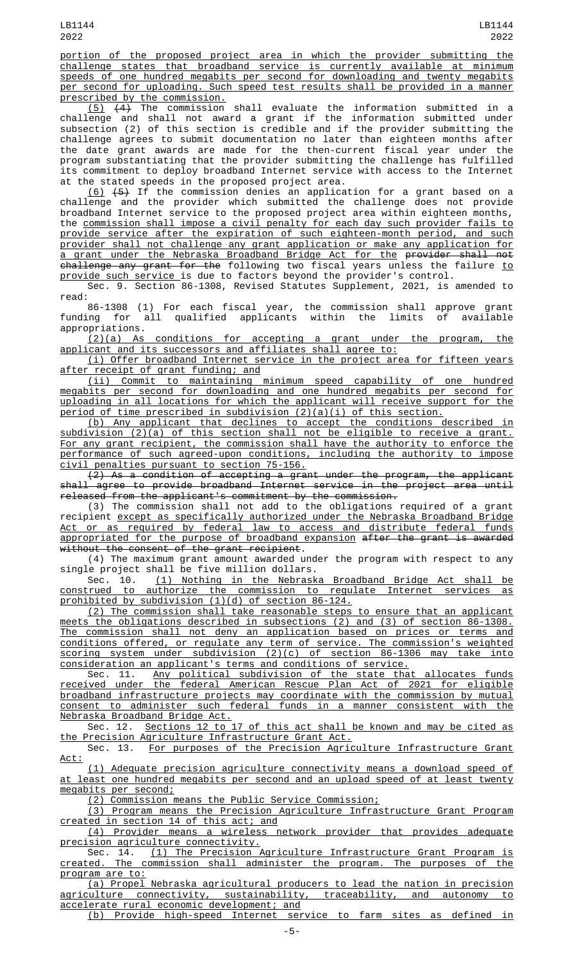portion of the proposed project area in which the provider submitting the challenge states that broadband service is currently available at minimum speeds of one hundred megabits per second for downloading and twenty megabits per second for uploading. Such speed test results shall be provided in a manner prescribed by the commission.

 $(5)$   $(4)$  The commission shall evaluate the information submitted in a challenge and shall not award a grant if the information submitted under subsection (2) of this section is credible and if the provider submitting the challenge agrees to submit documentation no later than eighteen months after the date grant awards are made for the then-current fiscal year under the program substantiating that the provider submitting the challenge has fulfilled its commitment to deploy broadband Internet service with access to the Internet at the stated speeds in the proposed project area.

(6) (5) If the commission denies an application for a grant based on a challenge and the provider which submitted the challenge does not provide broadband Internet service to the proposed project area within eighteen months, the commission shall impose a civil penalty for each day such provider fails to provide service after the expiration of such eighteen-month period, and such provider shall not challenge any grant application or make any application for a grant under the Nebraska Broadband Bridge Act for the provider shall not <del>challenge any grant for the</del> following two fiscal years unless the failure <u>to</u> provide such service is due to factors beyond the provider's control.

Sec. 9. Section 86-1308, Revised Statutes Supplement, 2021, is amended to read:

86-1308 (1) For each fiscal year, the commission shall approve grant funding for all qualified applicants within the limits of available appropriations.

(2)(a) As conditions for accepting a grant under the program, the applicant and its successors and affiliates shall agree to:

(i) Offer broadband Internet service in the project area for fifteen years after receipt of grant funding; and

(ii) Commit to maintaining minimum speed capability of one hundred megabits per second for downloading and one hundred megabits per second for uploading in all locations for which the applicant will receive support for the period of time prescribed in subdivision (2)(a)(i) of this section.

(b) Any applicant that declines to accept the conditions described in subdivision (2)(a) of this section shall not be eligible to receive a grant. For any grant recipient, the commission shall have the authority to enforce the performance of such agreed-upon conditions, including the authority to impose civil penalties pursuant to section 75-156.

(2) As a condition of accepting a grant under the program, the applicant shall agree to provide broadband Internet service in the project area until released from the applicant's commitment by the commission.

(3) The commission shall not add to the obligations required of a grant recipient except as specifically authorized under the Nebraska Broadband Bridge Act or as required by federal law to access and distribute federal funds appropriated for the purpose of broadband expansion after the grant is awarded without the consent of the grant recipient.

(4) The maximum grant amount awarded under the program with respect to any single project shall be five million dollars.<br>Sec. 10. (1) Nothing in the Nebrask

(1) Nothing in the Nebraska Broadband Bridge Act shall be construed to authorize the commission to regulate Internet services as prohibited by subdivision (1)(d) of section 86-124.

(2) The commission shall take reasonable steps to ensure that an applicant meets the obligations described in subsections (2) and (3) of section 86-1308. The commission shall not deny an application based on prices or terms and conditions offered, or regulate any term of service. The commission's weighted scoring system under subdivision (2)(c) of section 86-1306 may take into consideration an applicant's terms and conditions of service.

Sec. 11. Any political subdivision of the state that allocates funds received under the federal American Rescue Plan Act of 2021 for eligible broadband infrastructure projects may coordinate with the commission by mutual consent to administer such federal funds in a manner consistent with the Nebraska Broadband Bridge Act.

Sec. 12. Sections 12 to 17 of this act shall be known and may be cited as the Precision Agriculture Infrastructure Grant Act.

Sec. 13. For purposes of the Precision Agriculture Infrastructure Grant Act:

(1) Adequate precision agriculture connectivity means a download speed of at least one hundred megabits per second and an upload speed of at least twenty megabits per second;

(2) Commission means the Public Service Commission;

(3) Program means the Precision Agriculture Infrastructure Grant Program created in section 14 of this act; and

(4) Provider means a wireless network provider that provides adequate precision agriculture connectivity.

Sec. 14. <u>(1) The Precision Agriculture Infrastructure Grant Program is</u> created. The commission shall administer the program. The purposes of the program are to:

(a) Propel Nebraska agricultural producers to lead the nation in precision agriculture connectivity, sustainability, traceability, and autonomy to accelerate rural economic development; and

(b) Provide high-speed Internet service to farm sites as defined in